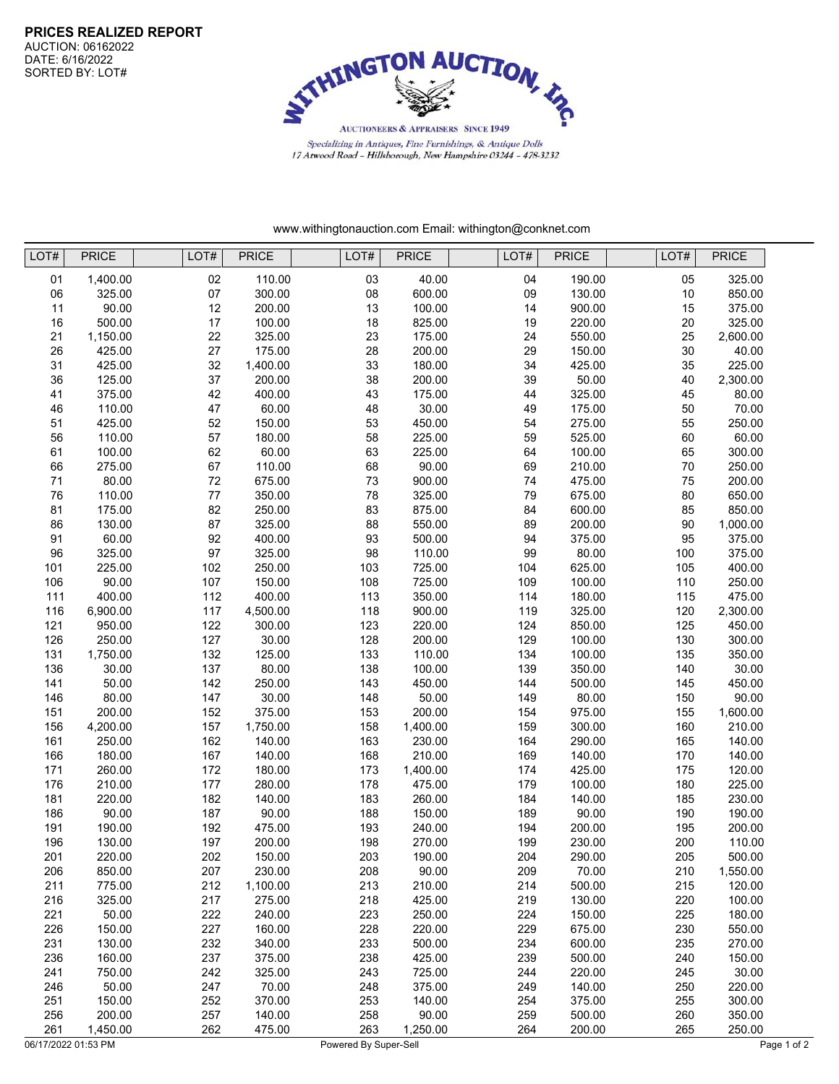

Specializing in Antiques, Fine Furnishings, & Antique Dolls 17 Atwood Road - Hillsborough, New Hampshire 03244 - 478-3232

www.withingtonauction.com Email: withington@conknet.com

| LOT# | <b>PRICE</b> | LOT#    | <b>PRICE</b> | LOT# | <b>PRICE</b> | LOT# | <b>PRICE</b> | LOT# | <b>PRICE</b> |  |
|------|--------------|---------|--------------|------|--------------|------|--------------|------|--------------|--|
| 01   | 1,400.00     | 02      | 110.00       | 03   | 40.00        | 04   | 190.00       | 05   | 325.00       |  |
| 06   | 325.00       | 07      | 300.00       | 08   | 600.00       | 09   | 130.00       | 10   | 850.00       |  |
| 11   | 90.00        | 12      | 200.00       | 13   | 100.00       | 14   | 900.00       | 15   | 375.00       |  |
| 16   | 500.00       | 17      | 100.00       | 18   | 825.00       | 19   | 220.00       | 20   | 325.00       |  |
| 21   | 1,150.00     | 22      | 325.00       | 23   | 175.00       | 24   | 550.00       | 25   | 2,600.00     |  |
| 26   | 425.00       | 27      | 175.00       | 28   | 200.00       | 29   | 150.00       | 30   | 40.00        |  |
| 31   | 425.00       | 32      | 1,400.00     | 33   | 180.00       | 34   | 425.00       | 35   | 225.00       |  |
| 36   | 125.00       | 37      | 200.00       | 38   | 200.00       | 39   | 50.00        | 40   | 2,300.00     |  |
| 41   | 375.00       | 42      | 400.00       | 43   | 175.00       | 44   | 325.00       | 45   | 80.00        |  |
| 46   | 110.00       | 47      | 60.00        | 48   | 30.00        | 49   | 175.00       | 50   | 70.00        |  |
| 51   | 425.00       | 52      | 150.00       | 53   | 450.00       | 54   | 275.00       | 55   | 250.00       |  |
| 56   | 110.00       | 57      | 180.00       | 58   | 225.00       | 59   | 525.00       | 60   | 60.00        |  |
| 61   | 100.00       | 62      | 60.00        | 63   | 225.00       | 64   | 100.00       | 65   | 300.00       |  |
| 66   | 275.00       | 67      | 110.00       | 68   | 90.00        | 69   | 210.00       | 70   | 250.00       |  |
| 71   | 80.00        | $72\,$  | 675.00       | 73   | 900.00       | 74   | 475.00       | 75   | 200.00       |  |
| 76   | 110.00       | $77 \,$ | 350.00       | 78   | 325.00       | 79   | 675.00       | 80   | 650.00       |  |
| 81   | 175.00       | 82      | 250.00       | 83   | 875.00       | 84   | 600.00       | 85   | 850.00       |  |
| 86   | 130.00       | 87      | 325.00       | 88   | 550.00       | 89   | 200.00       | 90   | 1,000.00     |  |
| 91   | 60.00        | 92      | 400.00       | 93   | 500.00       | 94   | 375.00       | 95   | 375.00       |  |
| 96   | 325.00       | 97      | 325.00       | 98   | 110.00       | 99   | 80.00        | 100  | 375.00       |  |
| 101  | 225.00       | 102     | 250.00       | 103  | 725.00       | 104  | 625.00       | 105  | 400.00       |  |
| 106  | 90.00        | 107     | 150.00       | 108  | 725.00       | 109  | 100.00       | 110  | 250.00       |  |
| 111  | 400.00       | 112     | 400.00       | 113  | 350.00       | 114  | 180.00       | 115  | 475.00       |  |
| 116  | 6,900.00     | 117     | 4,500.00     | 118  | 900.00       | 119  | 325.00       | 120  | 2,300.00     |  |
| 121  | 950.00       | 122     | 300.00       | 123  | 220.00       | 124  | 850.00       | 125  | 450.00       |  |
| 126  | 250.00       | 127     | 30.00        | 128  | 200.00       | 129  | 100.00       | 130  | 300.00       |  |
| 131  | 1,750.00     | 132     | 125.00       | 133  | 110.00       | 134  | 100.00       | 135  | 350.00       |  |
| 136  | 30.00        | 137     | 80.00        | 138  | 100.00       | 139  | 350.00       | 140  | 30.00        |  |
| 141  | 50.00        | 142     | 250.00       | 143  | 450.00       | 144  | 500.00       | 145  | 450.00       |  |
| 146  | 80.00        | 147     | 30.00        | 148  | 50.00        | 149  | 80.00        | 150  | 90.00        |  |
| 151  | 200.00       | 152     | 375.00       | 153  | 200.00       | 154  | 975.00       | 155  | 1,600.00     |  |
| 156  | 4,200.00     | 157     | 1,750.00     | 158  | 1,400.00     | 159  | 300.00       | 160  | 210.00       |  |
| 161  | 250.00       | 162     | 140.00       | 163  | 230.00       | 164  | 290.00       | 165  | 140.00       |  |
| 166  | 180.00       | 167     | 140.00       | 168  | 210.00       | 169  | 140.00       | 170  | 140.00       |  |
| 171  | 260.00       | 172     | 180.00       | 173  | 1,400.00     | 174  | 425.00       | 175  | 120.00       |  |
| 176  | 210.00       | 177     | 280.00       | 178  | 475.00       | 179  | 100.00       | 180  | 225.00       |  |
| 181  | 220.00       | 182     | 140.00       | 183  | 260.00       | 184  | 140.00       | 185  | 230.00       |  |
| 186  | 90.00        | 187     | 90.00        | 188  | 150.00       | 189  | 90.00        | 190  | 190.00       |  |
| 191  | 190.00       | 192     | 475.00       | 193  | 240.00       | 194  | 200.00       | 195  | 200.00       |  |
| 196  | 130.00       | 197     | 200.00       | 198  | 270.00       | 199  | 230.00       | 200  | 110.00       |  |
| 201  | 220.00       | 202     | 150.00       | 203  | 190.00       | 204  | 290.00       | 205  | 500.00       |  |
| 206  | 850.00       | 207     | 230.00       | 208  | 90.00        | 209  | 70.00        | 210  | 1,550.00     |  |
| 211  | 775.00       | 212     | 1,100.00     | 213  | 210.00       | 214  | 500.00       | 215  | 120.00       |  |
| 216  | 325.00       | 217     | 275.00       | 218  | 425.00       | 219  | 130.00       | 220  | 100.00       |  |
| 221  | 50.00        | 222     | 240.00       | 223  | 250.00       | 224  | 150.00       | 225  | 180.00       |  |
| 226  | 150.00       | 227     | 160.00       | 228  | 220.00       | 229  | 675.00       | 230  | 550.00       |  |
| 231  | 130.00       | 232     | 340.00       | 233  | 500.00       | 234  | 600.00       | 235  | 270.00       |  |
| 236  | 160.00       | 237     | 375.00       | 238  | 425.00       | 239  | 500.00       | 240  | 150.00       |  |
| 241  | 750.00       | 242     | 325.00       | 243  | 725.00       | 244  | 220.00       | 245  | 30.00        |  |
| 246  | 50.00        | 247     | 70.00        | 248  | 375.00       | 249  | 140.00       | 250  | 220.00       |  |
| 251  | 150.00       | 252     | 370.00       | 253  | 140.00       | 254  | 375.00       | 255  | 300.00       |  |
| 256  | 200.00       | 257     | 140.00       | 258  | 90.00        | 259  | 500.00       | 260  | 350.00       |  |
| 261  | 1,450.00     | 262     | 475.00       | 263  | 1,250.00     | 264  | 200.00       | 265  | 250.00       |  |